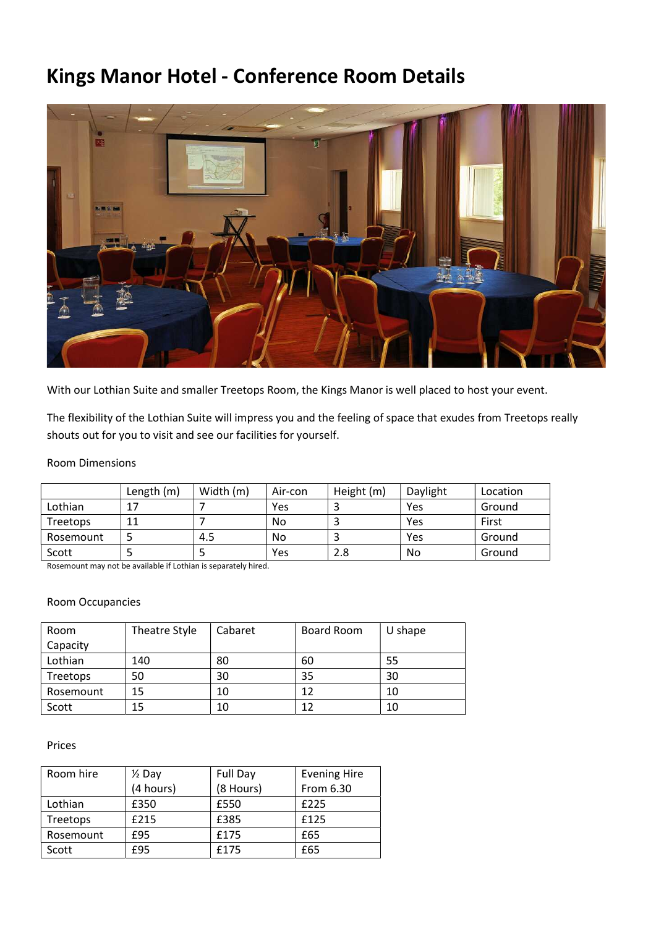## Kings Manor Hotel - Conference Room Details



With our Lothian Suite and smaller Treetops Room, the Kings Manor is well placed to host your event.

The flexibility of the Lothian Suite will impress you and the feeling of space that exudes from Treetops really shouts out for you to visit and see our facilities for yourself.

### Room Dimensions

|           | Length (m) | Width (m) | Air-con | Height (m) | Daylight | Location |
|-----------|------------|-----------|---------|------------|----------|----------|
| Lothian   |            |           | Yes     |            | Yes      | Ground   |
| Treetops  |            |           | No      |            | Yes      | First    |
| Rosemount |            | 4.5       | No      |            | Yes      | Ground   |
| Scott     |            |           | Yes     | 2.8        | No       | Ground   |

Rosemount may not be available if Lothian is separately hired.

### Room Occupancies

| Room      | Theatre Style | Cabaret | Board Room | U shape |
|-----------|---------------|---------|------------|---------|
| Capacity  |               |         |            |         |
| Lothian   | 140           | 80      | 60         | 55      |
| Treetops  | 50            | 30      | 35         | 30      |
| Rosemount | 15            | 10      | 12         | 10      |
| Scott     | 15            | 10      | 12         | 10      |

#### Prices

| Room hire | $\frac{1}{2}$ Day | Full Day  | <b>Evening Hire</b> |
|-----------|-------------------|-----------|---------------------|
|           | (4 hours)         | (8 Hours) | From 6.30           |
| Lothian   | £350              | £550      | £225                |
| Treetops  | £215              | £385      | £125                |
| Rosemount | £95               | £175      | £65                 |
| Scott     | £95               | £175      | £65                 |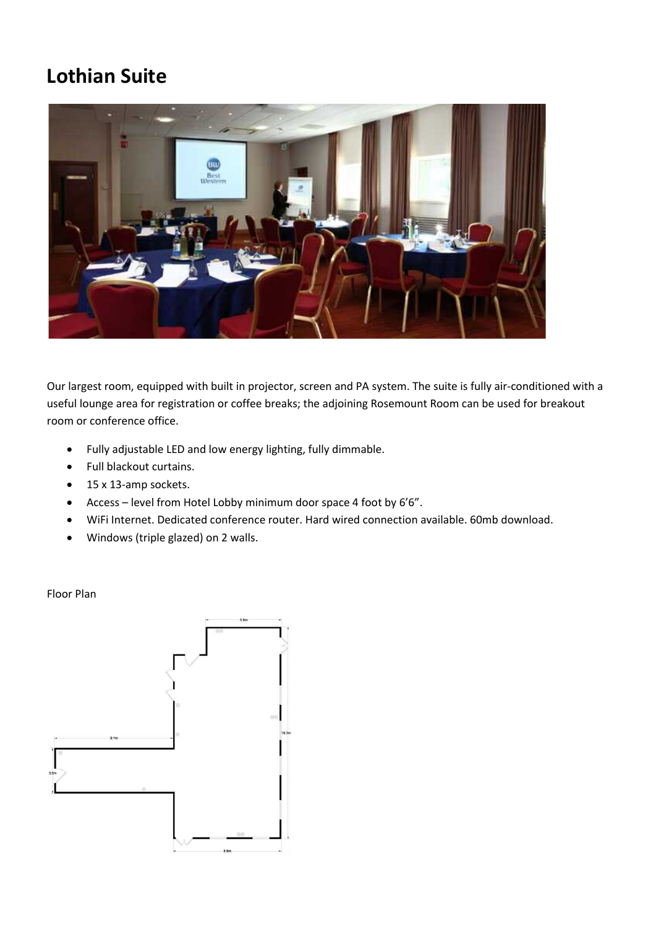## Lothian Suite



Our largest room, equipped with built in projector, screen and PA system. The suite is fully air-conditioned with a useful lounge area for registration or coffee breaks; the adjoining Rosemount Room can be used for breakout room or conference office.

- Fully adjustable LED and low energy lighting, fully dimmable.
- Full blackout curtains.
- 15 x 13-amp sockets.
- Access level from Hotel Lobby minimum door space 4 foot by 6'6".
- WiFi Internet. Dedicated conference router. Hard wired connection available. 60mb download.
- Windows (triple glazed) on 2 walls.

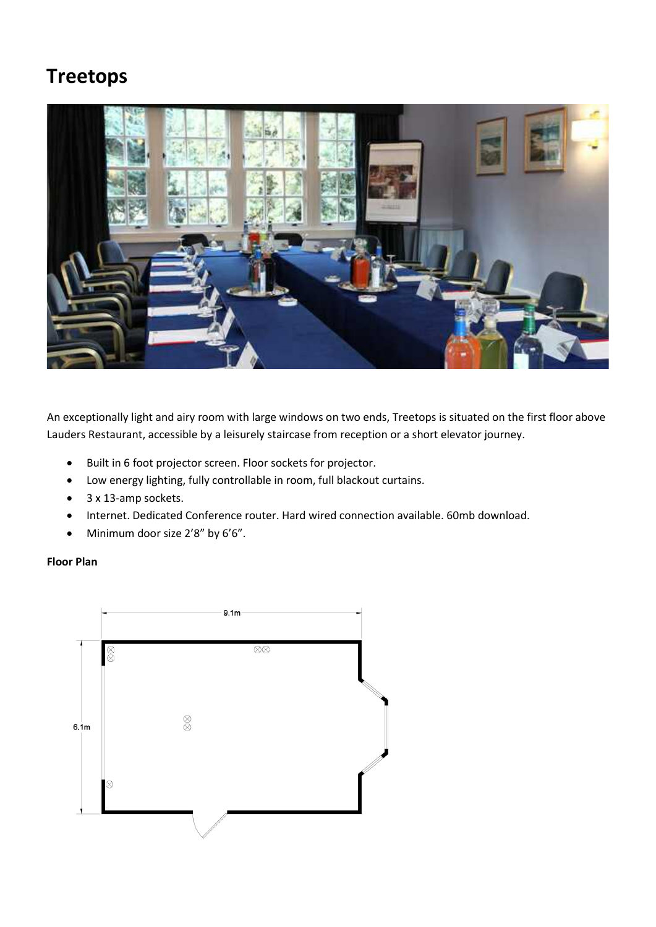# Treetops



An exceptionally light and airy room with large windows on two ends, Treetops is situated on the first floor above Lauders Restaurant, accessible by a leisurely staircase from reception or a short elevator journey.

- Built in 6 foot projector screen. Floor sockets for projector.
- Low energy lighting, fully controllable in room, full blackout curtains.
- 3 x 13-amp sockets.
- Internet. Dedicated Conference router. Hard wired connection available. 60mb download.
- Minimum door size 2'8" by 6'6".

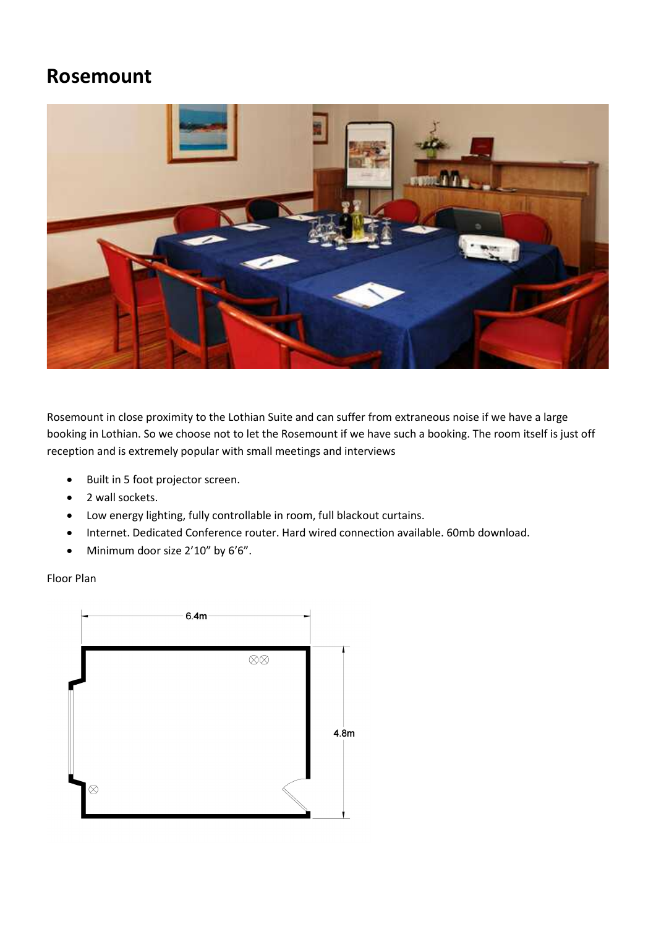### Rosemount



Rosemount in close proximity to the Lothian Suite and can suffer from extraneous noise if we have a large booking in Lothian. So we choose not to let the Rosemount if we have such a booking. The room itself is just off reception and is extremely popular with small meetings and interviews

- Built in 5 foot projector screen.
- 2 wall sockets.
- Low energy lighting, fully controllable in room, full blackout curtains.
- Internet. Dedicated Conference router. Hard wired connection available. 60mb download.
- Minimum door size 2'10" by 6'6".